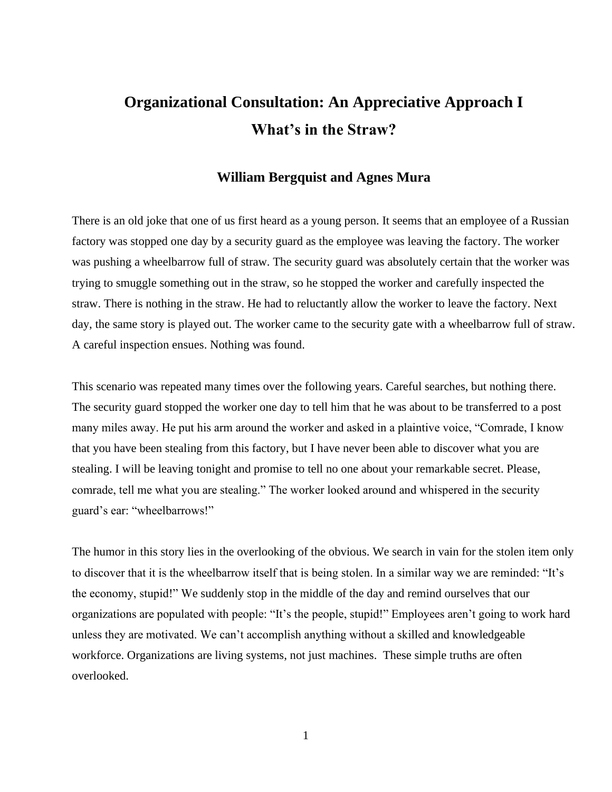## **Organizational Consultation: An Appreciative Approach I What's in the Straw?**

## **William Bergquist and Agnes Mura**

There is an old joke that one of us first heard as a young person. It seems that an employee of a Russian factory was stopped one day by a security guard as the employee was leaving the factory. The worker was pushing a wheelbarrow full of straw. The security guard was absolutely certain that the worker was trying to smuggle something out in the straw, so he stopped the worker and carefully inspected the straw. There is nothing in the straw. He had to reluctantly allow the worker to leave the factory. Next day, the same story is played out. The worker came to the security gate with a wheelbarrow full of straw. A careful inspection ensues. Nothing was found.

This scenario was repeated many times over the following years. Careful searches, but nothing there. The security guard stopped the worker one day to tell him that he was about to be transferred to a post many miles away. He put his arm around the worker and asked in a plaintive voice, "Comrade, I know that you have been stealing from this factory, but I have never been able to discover what you are stealing. I will be leaving tonight and promise to tell no one about your remarkable secret. Please, comrade, tell me what you are stealing." The worker looked around and whispered in the security guard's ear: "wheelbarrows!"

The humor in this story lies in the overlooking of the obvious. We search in vain for the stolen item only to discover that it is the wheelbarrow itself that is being stolen. In a similar way we are reminded: "It's the economy, stupid!" We suddenly stop in the middle of the day and remind ourselves that our organizations are populated with people: "It's the people, stupid!" Employees aren't going to work hard unless they are motivated. We can't accomplish anything without a skilled and knowledgeable workforce. Organizations are living systems, not just machines. These simple truths are often overlooked.

1